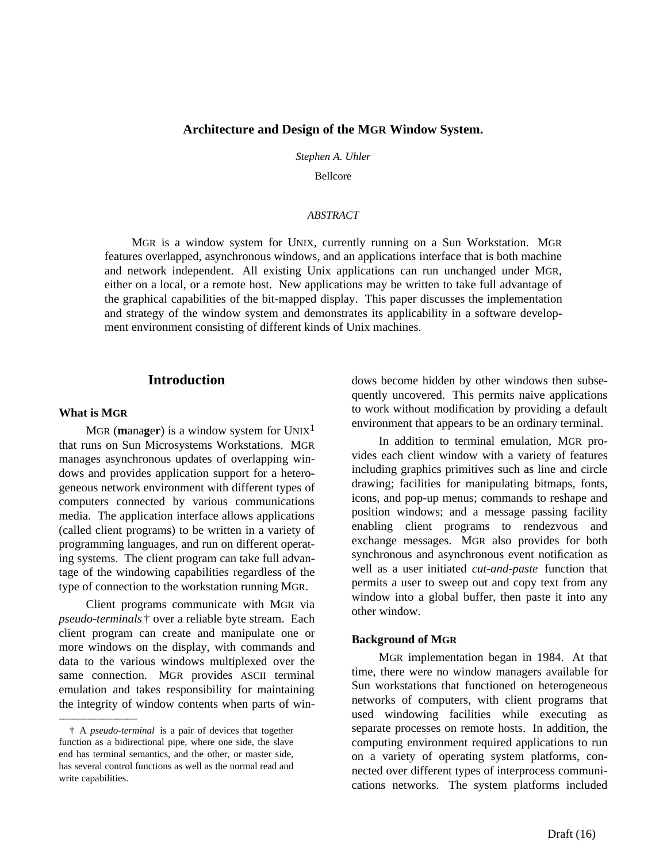#### **Architecture and Design of the MGR Window System.**

*Stephen A. Uhler*

Bellcore

#### *ABSTRACT*

MGR is a window system for UNIX, currently running on a Sun Workstation. MGR features overlapped, asynchronous windows, and an applications interface that is both machine and network independent. All existing Unix applications can run unchanged under MGR, either on a local, or a remote host. New applications may be written to take full advantage of the graphical capabilities of the bit-mapped display. This paper discusses the implementation and strategy of the window system and demonstrates its applicability in a software development environment consisting of different kinds of Unix machines.

## **Introduction**

#### **What is MGR**

hhhhhhhhhhhhhhhh

MGR (**manager**) is a window system for  $UNIX<sup>1</sup>$ that runs on Sun Microsystems Workstations. MGR manages asynchronous updates of overlapping windows and provides application support for a heterogeneous network environment with different types of computers connected by various communications media. The application interface allows applications (called client programs) to be written in a variety of programming languages, and run on different operating systems. The client program can take full advantage of the windowing capabilities regardless of the type of connection to the workstation running MGR.

Client programs communicate with MGR via *pseudo-terminals* † over a reliable byte stream. Each client program can create and manipulate one or more windows on the display, with commands and data to the various windows multiplexed over the same connection. MGR provides ASCII terminal emulation and takes responsibility for maintaining the integrity of window contents when parts of windows become hidden by other windows then subsequently uncovered. This permits naive applications to work without modification by providing a default environment that appears to be an ordinary terminal.

In addition to terminal emulation, MGR provides each client window with a variety of features including graphics primitives such as line and circle drawing; facilities for manipulating bitmaps, fonts, icons, and pop-up menus; commands to reshape and position windows; and a message passing facility enabling client programs to rendezvous and exchange messages. MGR also provides for both synchronous and asynchronous event notification as well as a user initiated *cut-and-paste* function that permits a user to sweep out and copy text from any window into a global buffer, then paste it into any other window.

#### **Background of MGR**

MGR implementation began in 1984. At that time, there were no window managers available for Sun workstations that functioned on heterogeneous networks of computers, with client programs that used windowing facilities while executing as separate processes on remote hosts. In addition, the computing environment required applications to run on a variety of operating system platforms, connected over different types of interprocess communications networks. The system platforms included

<sup>†</sup> A *pseudo-terminal* is a pair of devices that together function as a bidirectional pipe, where one side, the slave end has terminal semantics, and the other, or master side, has several control functions as well as the normal read and write capabilities.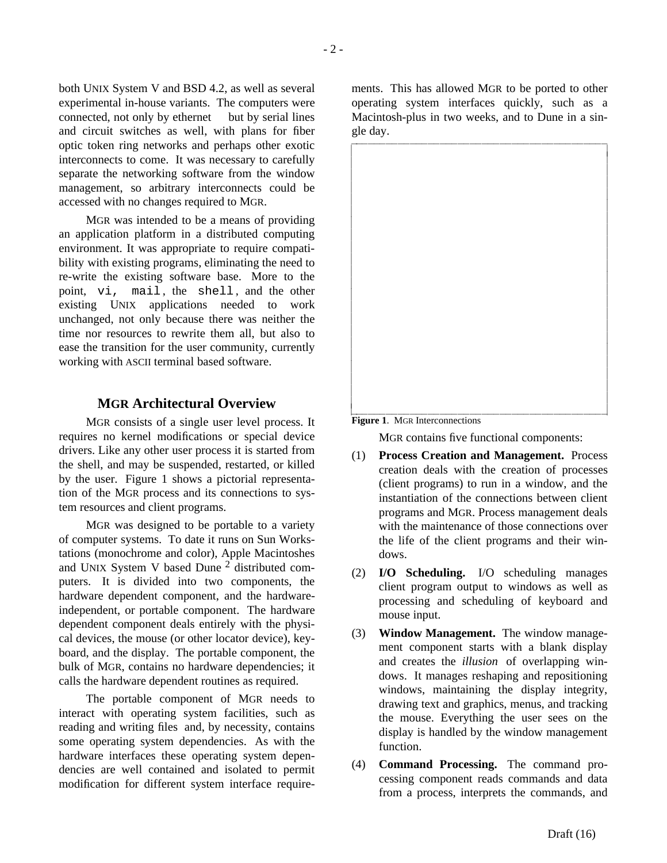both UNIX System V and BSD 4.2, as well as several experimental in-house variants. The computers were connected, not only by ethernet<sup> $TM$ </sup> but by serial lines and circuit switches as well, with plans for fiber optic token ring networks and perhaps other exotic interconnects to come. It was necessary to carefully separate the networking software from the window management, so arbitrary interconnects could be accessed with no changes required to MGR.

MGR was intended to be a means of providing an application platform in a distributed computing environment. It was appropriate to require compatibility with existing programs, eliminating the need to re-write the existing software base. More to the point, vi, mail , the shell , and the other existing UNIX applications needed to work unchanged, not only because there was neither the time nor resources to rewrite them all, but also to ease the transition for the user community, currently working with ASCII terminal based software.

# **MGR Architectural Overview**

MGR consists of a single user level process. It requires no kernel modifications or special device drivers. Like any other user process it is started from the shell, and may be suspended, restarted, or killed by the user. Figure 1 shows a pictorial representation of the MGR process and its connections to system resources and client programs.

MGR was designed to be portable to a variety of computer systems. To date it runs on Sun Workstations (monochrome and color), Apple Macintoshes and UNIX System V based Dune <sup>2</sup> distributed computers. It is divided into two components, the hardware dependent component, and the hardwareindependent, or portable component. The hardware dependent component deals entirely with the physical devices, the mouse (or other locator device), keyboard, and the display. The portable component, the bulk of MGR, contains no hardware dependencies; it calls the hardware dependent routines as required.

The portable component of MGR needs to interact with operating system facilities, such as reading and writing files and, by necessity, contains some operating system dependencies. As with the hardware interfaces these operating system dependencies are well contained and isolated to permit modification for different system interface requirements. This has allowed MGR to be ported to other operating system interfaces quickly, such as a Macintosh-plus in two weeks, and to Dune in a single day.



**Figure 1**. MGR Interconnections

MGR contains five functional components:

- (1) **Process Creation and Management.** Process creation deals with the creation of processes (client programs) to run in a window, and the instantiation of the connections between client programs and MGR. Process management deals with the maintenance of those connections over the life of the client programs and their windows.
- (2) **I/O Scheduling.** I/O scheduling manages client program output to windows as well as processing and scheduling of keyboard and mouse input.
- (3) **Window Management.** The window management component starts with a blank display and creates the *illusion* of overlapping windows. It manages reshaping and repositioning windows, maintaining the display integrity, drawing text and graphics, menus, and tracking the mouse. Everything the user sees on the display is handled by the window management function.
- (4) **Command Processing.** The command processing component reads commands and data from a process, interprets the commands, and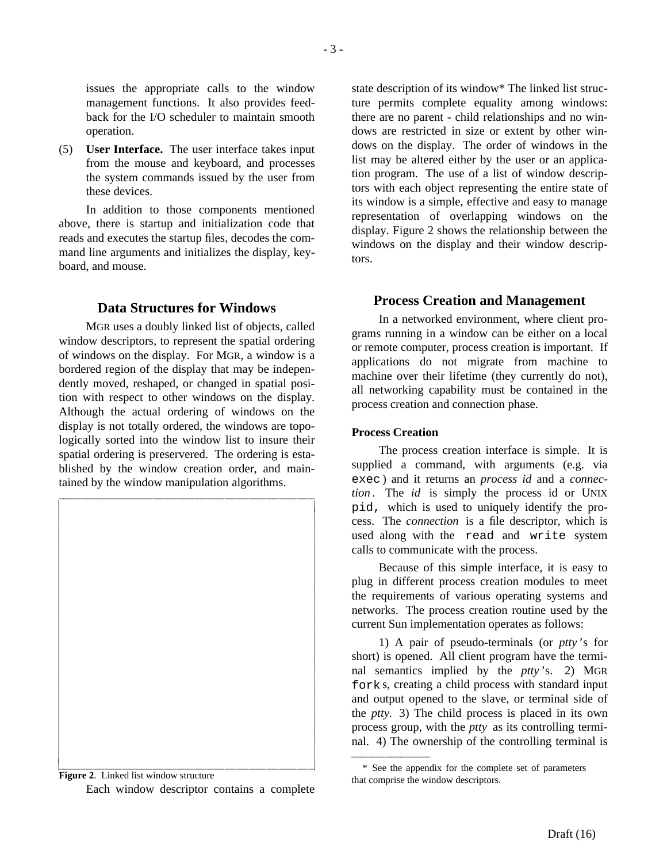issues the appropriate calls to the window management functions. It also provides feedback for the I/O scheduler to maintain smooth operation.

(5) **User Interface.** The user interface takes input from the mouse and keyboard, and processes the system commands issued by the user from these devices.

In addition to those components mentioned above, there is startup and initialization code that reads and executes the startup files, decodes the command line arguments and initializes the display, keyboard, and mouse.

# **Data Structures for Windows**

MGR uses a doubly linked list of objects, called window descriptors, to represent the spatial ordering of windows on the display. For MGR, a window is a bordered region of the display that may be independently moved, reshaped, or changed in spatial position with respect to other windows on the display. Although the actual ordering of windows on the display is not totally ordered, the windows are topologically sorted into the window list to insure their spatial ordering is preservered. The ordering is established by the window creation order, and maintained by the window manipulation algorithms.



**Figure 2**. Linked list window structure Each window descriptor contains a complete

state description of its window\* The linked list structure permits complete equality among windows: there are no parent - child relationships and no windows are restricted in size or extent by other windows on the display. The order of windows in the list may be altered either by the user or an application program. The use of a list of window descriptors with each object representing the entire state of its window is a simple, effective and easy to manage representation of overlapping windows on the display. Figure 2 shows the relationship between the windows on the display and their window descriptors.

# **Process Creation and Management**

In a networked environment, where client programs running in a window can be either on a local or remote computer, process creation is important. If applications do not migrate from machine to machine over their lifetime (they currently do not), all networking capability must be contained in the process creation and connection phase.

### **Process Creation**

hhhhhhhhhhhhhhhh

The process creation interface is simple. It is supplied a command, with arguments (e.g. via exec ) and it returns an *process id* and a *connection* . The *id* is simply the process id or UNIX pid, which is used to uniquely identify the process. The *connection* is a file descriptor, which is used along with the read and write system calls to communicate with the process.

Because of this simple interface, it is easy to plug in different process creation modules to meet the requirements of various operating systems and networks. The process creation routine used by the current Sun implementation operates as follows:

1) A pair of pseudo-terminals (or *ptty* 's for short) is opened. All client program have the terminal semantics implied by the *ptty* 's. 2) MGR fork s, creating a child process with standard input and output opened to the slave, or terminal side of the *ptty.* 3) The child process is placed in its own process group, with the *ptty* as its controlling terminal. 4) The ownership of the controlling terminal is

<sup>\*</sup> See the appendix for the complete set of parameters that comprise the window descriptors.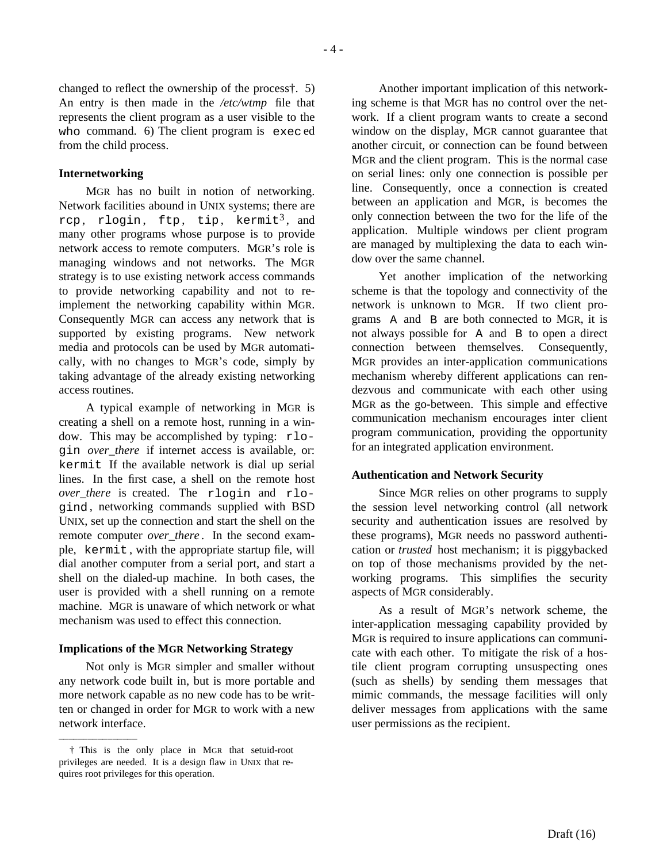changed to reflect the ownership of the process†. 5) An entry is then made in the */etc/wtmp* file that represents the client program as a user visible to the who command. 6) The client program is exec ed from the child process.

#### **Internetworking**

MGR has no built in notion of networking. Network facilities abound in UNIX systems; there are rcp, rlogin, ftp, tip, kermit<sup>3</sup>, and many other programs whose purpose is to provide network access to remote computers. MGR's role is managing windows and not networks. The MGR strategy is to use existing network access commands to provide networking capability and not to reimplement the networking capability within MGR. Consequently MGR can access any network that is supported by existing programs. New network media and protocols can be used by MGR automatically, with no changes to MGR's code, simply by taking advantage of the already existing networking access routines.

A typical example of networking in MGR is creating a shell on a remote host, running in a window. This may be accomplished by typing: rlogin *over\_there* if internet access is available, or: kermit If the available network is dial up serial lines. In the first case, a shell on the remote host *over there* is created. The rlogin and rlogind , networking commands supplied with BSD UNIX, set up the connection and start the shell on the remote computer *over there*. In the second example, kermit , with the appropriate startup file, will dial another computer from a serial port, and start a shell on the dialed-up machine. In both cases, the user is provided with a shell running on a remote machine. MGR is unaware of which network or what mechanism was used to effect this connection.

#### **Implications of the MGR Networking Strategy**

Not only is MGR simpler and smaller without any network code built in, but is more portable and more network capable as no new code has to be written or changed in order for MGR to work with a new network interface.

hhhhhhhhhhhhhhhh

Another important implication of this networking scheme is that MGR has no control over the network. If a client program wants to create a second window on the display, MGR cannot guarantee that another circuit, or connection can be found between MGR and the client program. This is the normal case on serial lines: only one connection is possible per line. Consequently, once a connection is created between an application and MGR, is becomes the only connection between the two for the life of the application. Multiple windows per client program are managed by multiplexing the data to each window over the same channel.

Yet another implication of the networking scheme is that the topology and connectivity of the network is unknown to MGR. If two client programs A and B are both connected to MGR, it is not always possible for A and B to open a direct connection between themselves. Consequently, MGR provides an inter-application communications mechanism whereby different applications can rendezvous and communicate with each other using MGR as the go-between. This simple and effective communication mechanism encourages inter client program communication, providing the opportunity for an integrated application environment.

#### **Authentication and Network Security**

Since MGR relies on other programs to supply the session level networking control (all network security and authentication issues are resolved by these programs), MGR needs no password authentication or *trusted* host mechanism; it is piggybacked on top of those mechanisms provided by the networking programs. This simplifies the security aspects of MGR considerably.

As a result of MGR's network scheme, the inter-application messaging capability provided by MGR is required to insure applications can communicate with each other. To mitigate the risk of a hostile client program corrupting unsuspecting ones (such as shells) by sending them messages that mimic commands, the message facilities will only deliver messages from applications with the same user permissions as the recipient.

<sup>†</sup> This is the only place in MGR that setuid-root privileges are needed. It is a design flaw in UNIX that requires root privileges for this operation.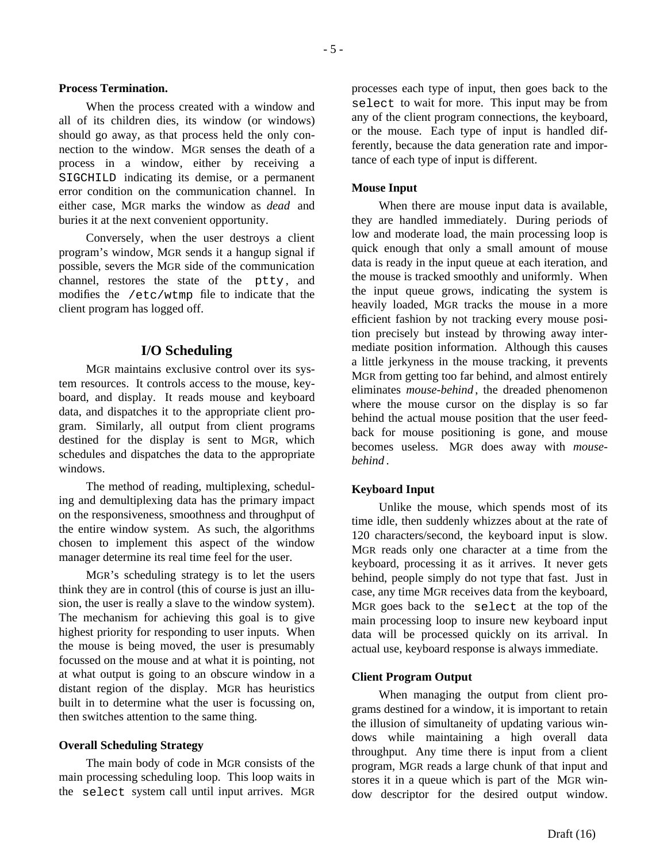#### **Process Termination.**

When the process created with a window and all of its children dies, its window (or windows) should go away, as that process held the only connection to the window. MGR senses the death of a process in a window, either by receiving a SIGCHILD indicating its demise, or a permanent error condition on the communication channel. In either case, MGR marks the window as *dead* and buries it at the next convenient opportunity.

Conversely, when the user destroys a client program's window, MGR sends it a hangup signal if possible, severs the MGR side of the communication channel, restores the state of the ptty, and modifies the /etc/wtmp file to indicate that the client program has logged off.

### **I/O Scheduling**

MGR maintains exclusive control over its system resources. It controls access to the mouse, keyboard, and display. It reads mouse and keyboard data, and dispatches it to the appropriate client program. Similarly, all output from client programs destined for the display is sent to MGR, which schedules and dispatches the data to the appropriate windows.

The method of reading, multiplexing, scheduling and demultiplexing data has the primary impact on the responsiveness, smoothness and throughput of the entire window system. As such, the algorithms chosen to implement this aspect of the window manager determine its real time feel for the user.

MGR's scheduling strategy is to let the users think they are in control (this of course is just an illusion, the user is really a slave to the window system). The mechanism for achieving this goal is to give highest priority for responding to user inputs. When the mouse is being moved, the user is presumably focussed on the mouse and at what it is pointing, not at what output is going to an obscure window in a distant region of the display. MGR has heuristics built in to determine what the user is focussing on, then switches attention to the same thing.

#### **Overall Scheduling Strategy**

The main body of code in MGR consists of the main processing scheduling loop. This loop waits in the select system call until input arrives. MGR

processes each type of input, then goes back to the select to wait for more. This input may be from any of the client program connections, the keyboard, or the mouse. Each type of input is handled differently, because the data generation rate and importance of each type of input is different.

### **Mouse Input**

When there are mouse input data is available, they are handled immediately. During periods of low and moderate load, the main processing loop is quick enough that only a small amount of mouse data is ready in the input queue at each iteration, and the mouse is tracked smoothly and uniformly. When the input queue grows, indicating the system is heavily loaded, MGR tracks the mouse in a more efficient fashion by not tracking every mouse position precisely but instead by throwing away intermediate position information. Although this causes a little jerkyness in the mouse tracking, it prevents MGR from getting too far behind, and almost entirely eliminates *mouse-behind* , the dreaded phenomenon where the mouse cursor on the display is so far behind the actual mouse position that the user feedback for mouse positioning is gone, and mouse becomes useless. MGR does away with *mousebehind* .

### **Keyboard Input**

Unlike the mouse, which spends most of its time idle, then suddenly whizzes about at the rate of 120 characters/second, the keyboard input is slow. MGR reads only one character at a time from the keyboard, processing it as it arrives. It never gets behind, people simply do not type that fast. Just in case, any time MGR receives data from the keyboard, MGR goes back to the select at the top of the main processing loop to insure new keyboard input data will be processed quickly on its arrival. In actual use, keyboard response is always immediate.

## **Client Program Output**

When managing the output from client programs destined for a window, it is important to retain the illusion of simultaneity of updating various windows while maintaining a high overall data throughput. Any time there is input from a client program, MGR reads a large chunk of that input and stores it in a queue which is part of the MGR window descriptor for the desired output window.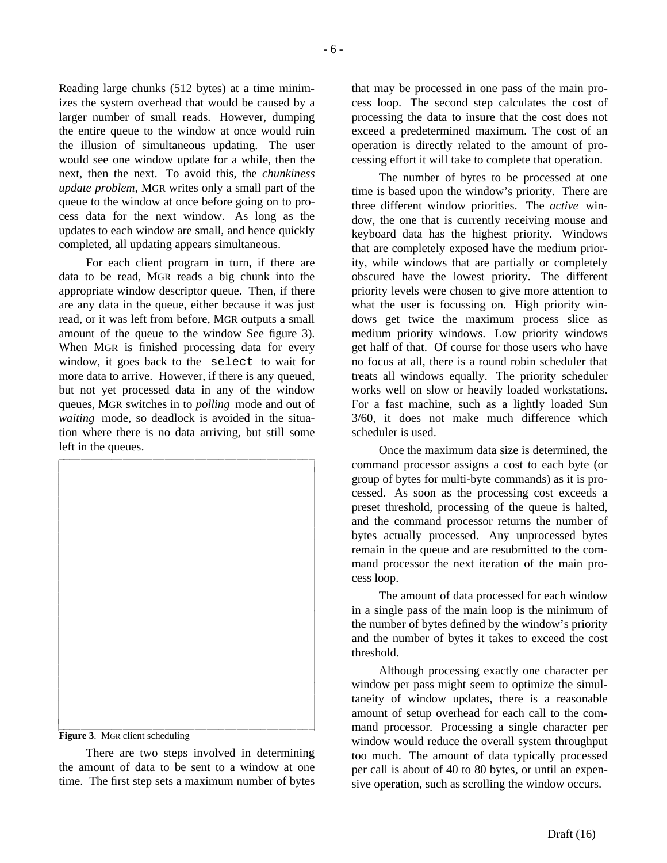Reading large chunks (512 bytes) at a time minimizes the system overhead that would be caused by a larger number of small reads. However, dumping the entire queue to the window at once would ruin the illusion of simultaneous updating. The user would see one window update for a while, then the next, then the next. To avoid this, the *chunkiness update problem,* MGR writes only a small part of the queue to the window at once before going on to process data for the next window. As long as the updates to each window are small, and hence quickly completed, all updating appears simultaneous.

For each client program in turn, if there are data to be read, MGR reads a big chunk into the appropriate window descriptor queue. Then, if there are any data in the queue, either because it was just read, or it was left from before, MGR outputs a small amount of the queue to the window See figure 3). When MGR is finished processing data for every window, it goes back to the select to wait for more data to arrive. However, if there is any queued, but not yet processed data in any of the window queues, MGR switches in to *polling* mode and out of *waiting* mode, so deadlock is avoided in the situation where there is no data arriving, but still some left in the queues.



**Figure 3**. MGR client scheduling

There are two steps involved in determining the amount of data to be sent to a window at one time. The first step sets a maximum number of bytes that may be processed in one pass of the main process loop. The second step calculates the cost of processing the data to insure that the cost does not exceed a predetermined maximum. The cost of an operation is directly related to the amount of processing effort it will take to complete that operation.

The number of bytes to be processed at one time is based upon the window's priority. There are three different window priorities. The *active* window, the one that is currently receiving mouse and keyboard data has the highest priority. Windows that are completely exposed have the medium priority, while windows that are partially or completely obscured have the lowest priority. The different priority levels were chosen to give more attention to what the user is focussing on. High priority windows get twice the maximum process slice as medium priority windows. Low priority windows get half of that. Of course for those users who have no focus at all, there is a round robin scheduler that treats all windows equally. The priority scheduler works well on slow or heavily loaded workstations. For a fast machine, such as a lightly loaded Sun 3/60, it does not make much difference which scheduler is used.

Once the maximum data size is determined, the command processor assigns a cost to each byte (or group of bytes for multi-byte commands) as it is processed. As soon as the processing cost exceeds a preset threshold, processing of the queue is halted, and the command processor returns the number of bytes actually processed. Any unprocessed bytes remain in the queue and are resubmitted to the command processor the next iteration of the main process loop.

The amount of data processed for each window in a single pass of the main loop is the minimum of the number of bytes defined by the window's priority and the number of bytes it takes to exceed the cost threshold.

Although processing exactly one character per window per pass might seem to optimize the simultaneity of window updates, there is a reasonable amount of setup overhead for each call to the command processor. Processing a single character per window would reduce the overall system throughput too much. The amount of data typically processed per call is about of 40 to 80 bytes, or until an expensive operation, such as scrolling the window occurs.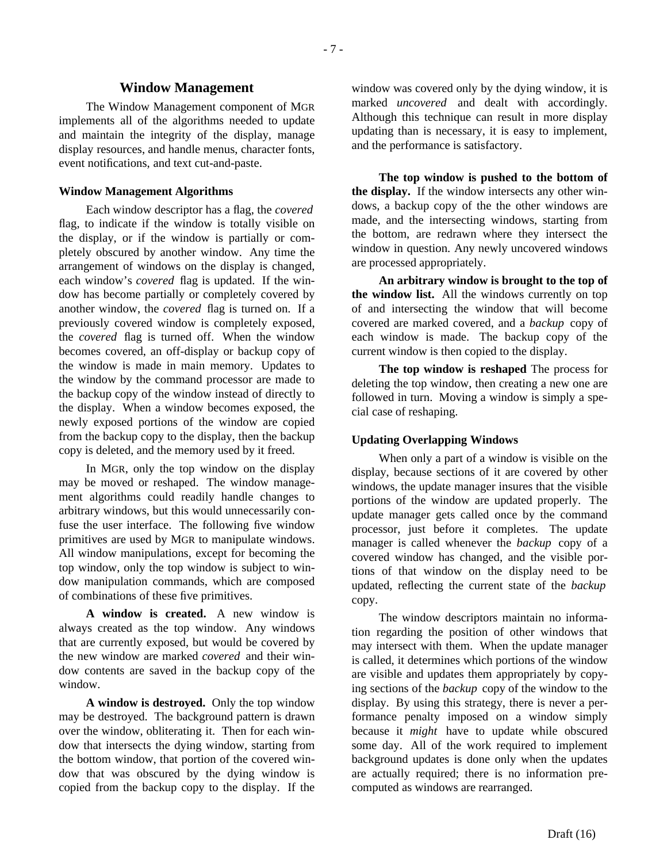#### **Window Management**

The Window Management component of MGR implements all of the algorithms needed to update and maintain the integrity of the display, manage display resources, and handle menus, character fonts, event notifications, and text cut-and-paste.

#### **Window Management Algorithms**

Each window descriptor has a flag, the *covered* flag, to indicate if the window is totally visible on the display, or if the window is partially or completely obscured by another window. Any time the arrangement of windows on the display is changed, each window's *covered* flag is updated. If the window has become partially or completely covered by another window, the *covered* flag is turned on. If a previously covered window is completely exposed, the *covered* flag is turned off. When the window becomes covered, an off-display or backup copy of the window is made in main memory. Updates to the window by the command processor are made to the backup copy of the window instead of directly to the display. When a window becomes exposed, the newly exposed portions of the window are copied from the backup copy to the display, then the backup copy is deleted, and the memory used by it freed.

In MGR, only the top window on the display may be moved or reshaped. The window management algorithms could readily handle changes to arbitrary windows, but this would unnecessarily confuse the user interface. The following five window primitives are used by MGR to manipulate windows. All window manipulations, except for becoming the top window, only the top window is subject to window manipulation commands, which are composed of combinations of these five primitives.

**A window is created.** A new window is always created as the top window. Any windows that are currently exposed, but would be covered by the new window are marked *covered* and their window contents are saved in the backup copy of the window.

**A window is destroyed.** Only the top window may be destroyed. The background pattern is drawn over the window, obliterating it. Then for each window that intersects the dying window, starting from the bottom window, that portion of the covered window that was obscured by the dying window is copied from the backup copy to the display. If the

window was covered only by the dying window, it is marked *uncovered* and dealt with accordingly. Although this technique can result in more display updating than is necessary, it is easy to implement, and the performance is satisfactory.

**The top window is pushed to the bottom of the display.** If the window intersects any other windows, a backup copy of the the other windows are made, and the intersecting windows, starting from the bottom, are redrawn where they intersect the window in question. Any newly uncovered windows are processed appropriately.

**An arbitrary window is brought to the top of the window list.** All the windows currently on top of and intersecting the window that will become covered are marked covered, and a *backup* copy of each window is made. The backup copy of the current window is then copied to the display.

**The top window is reshaped** The process for deleting the top window, then creating a new one are followed in turn. Moving a window is simply a special case of reshaping.

#### **Updating Overlapping Windows**

When only a part of a window is visible on the display, because sections of it are covered by other windows, the update manager insures that the visible portions of the window are updated properly. The update manager gets called once by the command processor, just before it completes. The update manager is called whenever the *backup* copy of a covered window has changed, and the visible portions of that window on the display need to be updated, reflecting the current state of the *backup* copy.

The window descriptors maintain no information regarding the position of other windows that may intersect with them. When the update manager is called, it determines which portions of the window are visible and updates them appropriately by copying sections of the *backup* copy of the window to the display. By using this strategy, there is never a performance penalty imposed on a window simply because it *might* have to update while obscured some day. All of the work required to implement background updates is done only when the updates are actually required; there is no information precomputed as windows are rearranged.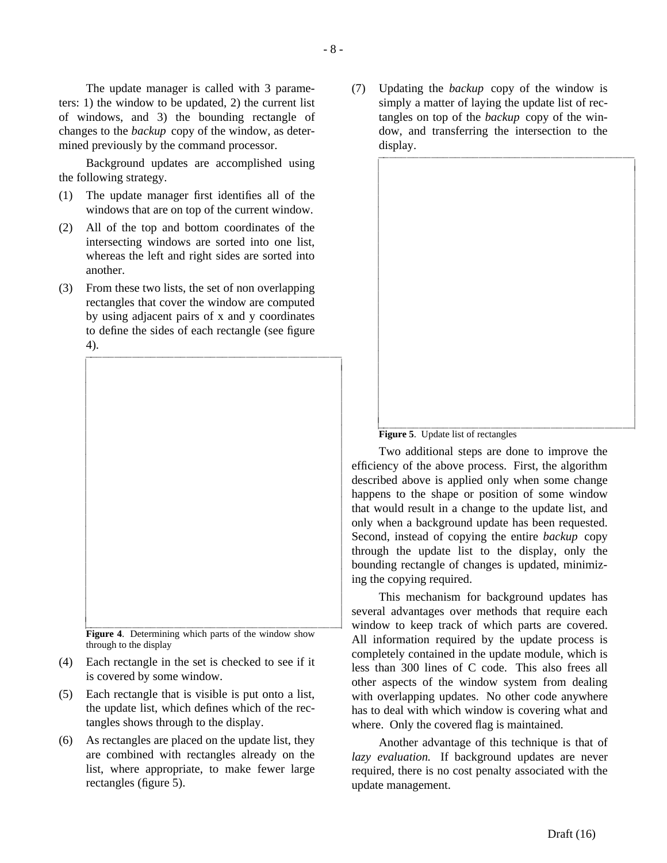The update manager is called with 3 parameters: 1) the window to be updated, 2) the current list of windows, and 3) the bounding rectangle of changes to the *backup* copy of the window, as determined previously by the command processor.

Background updates are accomplished using the following strategy.

- (1) The update manager first identifies all of the windows that are on top of the current window.
- (2) All of the top and bottom coordinates of the intersecting windows are sorted into one list, whereas the left and right sides are sorted into another.
- (3) From these two lists, the set of non overlapping rectangles that cover the window are computed by using adjacent pairs of x and y coordinates to define the sides of each rectangle (see figure 4). iiiiiiiiiiiiiiiiiiiiiiiiiiiiiiiiiiiiiiiiiiicc

**Figure 4**. Determining which parts of the window show through to the display

iiiiiiiiiiiiiiiiiiiiiiiiiiiiiiiiiiiiiiiiiiic

(4) Each rectangle in the set is checked to see if it is covered by some window.

 $\overline{\phantom{a}}$ 

- (5) Each rectangle that is visible is put onto a list, the update list, which defines which of the rectangles shows through to the display.
- (6) As rectangles are placed on the update list, they are combined with rectangles already on the list, where appropriate, to make fewer large rectangles (figure 5).

(7) Updating the *backup* copy of the window is simply a matter of laying the update list of rectangles on top of the *backup* copy of the window, and transferring the intersection to the display.





Two additional steps are done to improve the efficiency of the above process. First, the algorithm described above is applied only when some change happens to the shape or position of some window that would result in a change to the update list, and only when a background update has been requested. Second, instead of copying the entire *backup* copy through the update list to the display, only the bounding rectangle of changes is updated, minimizing the copying required.

This mechanism for background updates has several advantages over methods that require each window to keep track of which parts are covered. All information required by the update process is completely contained in the update module, which is less than 300 lines of C code. This also frees all other aspects of the window system from dealing with overlapping updates. No other code anywhere has to deal with which window is covering what and where. Only the covered flag is maintained.

Another advantage of this technique is that of *lazy evaluation.* If background updates are never required, there is no cost penalty associated with the update management.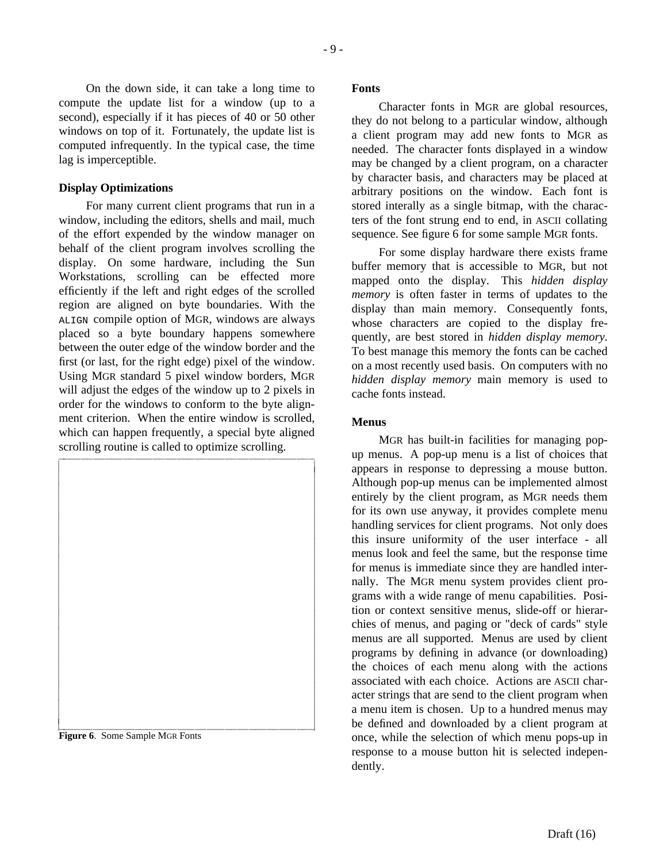On the down side, it can take a long time to compute the update list for a window (up to a second), especially if it has pieces of 40 or 50 other windows on top of it. Fortunately, the update list is computed infrequently. In the typical case, the time lag is imperceptible.

#### **Display Optimizations**

For many current client programs that run in a window, including the editors, shells and mail, much of the effort expended by the window manager on behalf of the client program involves scrolling the display. On some hardware, including the Sun Workstations, scrolling can be effected more efficiently if the left and right edges of the scrolled region are aligned on byte boundaries. With the ALIGN compile option of MGR, windows are always placed so a byte boundary happens somewhere between the outer edge of the window border and the first (or last, for the right edge) pixel of the window. Using MGR standard 5 pixel window borders, MGR will adjust the edges of the window up to 2 pixels in order for the windows to conform to the byte alignment criterion. When the entire window is scrolled, which can happen frequently, a special byte aligned



**Figure 6**. Some Sample MGR Fonts

#### **Fonts**

Character fonts in MGR are global resources, they do not belong to a particular window, although a client program may add new fonts to MGR as needed. The character fonts displayed in a window may be changed by a client program, on a character by character basis, and characters may be placed at arbitrary positions on the window. Each font is stored interally as a single bitmap, with the characters of the font strung end to end, in ASCII collating sequence. See figure 6 for some sample MGR fonts.

For some display hardware there exists frame buffer memory that is accessible to MGR, but not mapped onto the display. This *hidden display memory* is often faster in terms of updates to the display than main memory. Consequently fonts, whose characters are copied to the display frequently, are best stored in *hidden display memory.* To best manage this memory the fonts can be cached on a most recently used basis. On computers with no *hidden display memory* main memory is used to cache fonts instead.

#### **Menus**

MGR has built-in facilities for managing popup menus. A pop-up menu is a list of choices that appears in response to depressing a mouse button. Although pop-up menus can be implemented almost entirely by the client program, as MGR needs them for its own use anyway, it provides complete menu handling services for client programs. Not only does this insure uniformity of the user interface - all menus look and feel the same, but the response time for menus is immediate since they are handled internally. The MGR menu system provides client programs with a wide range of menu capabilities. Position or context sensitive menus, slide-off or hierarchies of menus, and paging or "deck of cards" style menus are all supported. Menus are used by client programs by defining in advance (or downloading) the choices of each menu along with the actions associated with each choice. Actions are ASCII character strings that are send to the client program when a menu item is chosen. Up to a hundred menus may be defined and downloaded by a client program at once, while the selection of which menu pops-up in response to a mouse button hit is selected independently.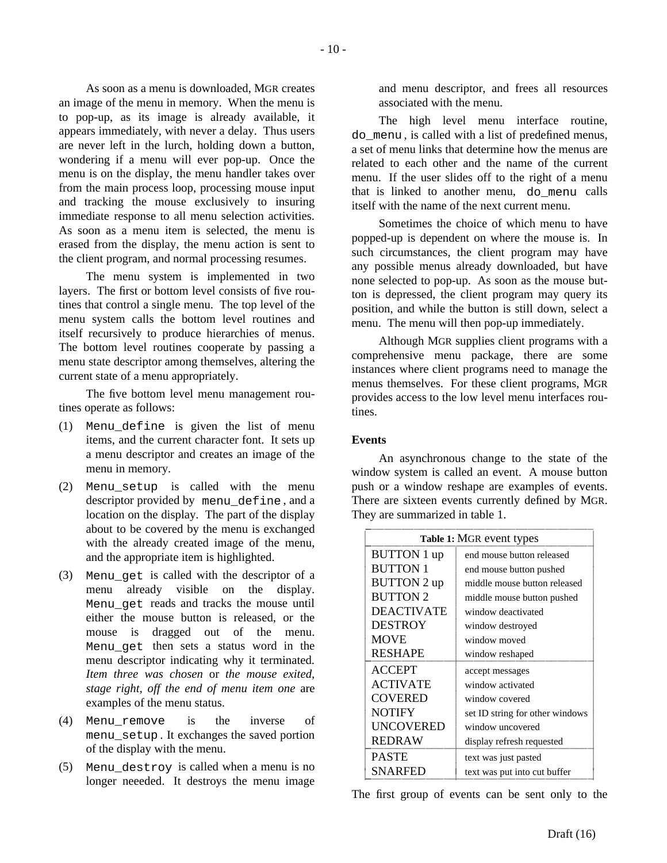As soon as a menu is downloaded, MGR creates an image of the menu in memory. When the menu is to pop-up, as its image is already available, it appears immediately, with never a delay. Thus users are never left in the lurch, holding down a button, wondering if a menu will ever pop-up. Once the menu is on the display, the menu handler takes over from the main process loop, processing mouse input and tracking the mouse exclusively to insuring immediate response to all menu selection activities. As soon as a menu item is selected, the menu is erased from the display, the menu action is sent to the client program, and normal processing resumes.

The menu system is implemented in two layers. The first or bottom level consists of five routines that control a single menu. The top level of the menu system calls the bottom level routines and itself recursively to produce hierarchies of menus. The bottom level routines cooperate by passing a menu state descriptor among themselves, altering the current state of a menu appropriately.

The five bottom level menu management routines operate as follows:

- (1) Menu\_define is given the list of menu items, and the current character font. It sets up a menu descriptor and creates an image of the menu in memory.
- (2) Menu\_setup is called with the menu descriptor provided by menu\_define , and a location on the display. The part of the display about to be covered by the menu is exchanged with the already created image of the menu, and the appropriate item is highlighted.
- (3) Menu\_get is called with the descriptor of a menu already visible on the display. Menu qet reads and tracks the mouse until either the mouse button is released, or the mouse is dragged out of the menu. Menu\_get then sets a status word in the menu descriptor indicating why it terminated. *Item three was chosen* or *the mouse exited, stage right, off the end of menu item one* are examples of the menu status.
- (4) Menu\_remove is the inverse of menu\_setup . It exchanges the saved portion of the display with the menu.
- (5) Menu\_destroy is called when a menu is no longer neeeded. It destroys the menu image

and menu descriptor, and frees all resources associated with the menu.

The high level menu interface routine, do\_menu , is called with a list of predefined menus, a set of menu links that determine how the menus are related to each other and the name of the current menu. If the user slides off to the right of a menu that is linked to another menu, do\_menu calls itself with the name of the next current menu.

Sometimes the choice of which menu to have popped-up is dependent on where the mouse is. In such circumstances, the client program may have any possible menus already downloaded, but have none selected to pop-up. As soon as the mouse button is depressed, the client program may query its position, and while the button is still down, select a menu. The menu will then pop-up immediately.

Although MGR supplies client programs with a comprehensive menu package, there are some instances where client programs need to manage the menus themselves. For these client programs, MGR provides access to the low level menu interfaces routines.

### **Events**

An asynchronous change to the state of the window system is called an event. A mouse button push or a window reshape are examples of events. There are sixteen events currently defined by MGR. They are summarized in table 1.

| Table 1: MGR event types |                                 |
|--------------------------|---------------------------------|
| <b>BUTTON</b> 1 up       | end mouse button released       |
| <b>BUTTON 1</b>          | end mouse button pushed         |
| <b>BUTTON 2 up</b>       | middle mouse button released    |
| <b>BUTTON 2</b>          | middle mouse button pushed      |
| <b>DEACTIVATE</b>        | window deactivated              |
| <b>DESTROY</b>           | window destroyed                |
| <b>MOVE</b>              | window moved                    |
| <b>RESHAPE</b>           | window reshaped                 |
| <b>ACCEPT</b>            | accept messages                 |
| <b>ACTIVATE</b>          | window activated                |
| <b>COVERED</b>           | window covered                  |
| <b>NOTIFY</b>            | set ID string for other windows |
| <b>UNCOVERED</b>         | window uncovered                |
| <b>REDRAW</b>            | display refresh requested       |
| <b>PASTE</b>             | text was just pasted            |
| <b>SNARFED</b>           | text was put into cut buffer    |

The first group of events can be sent only to the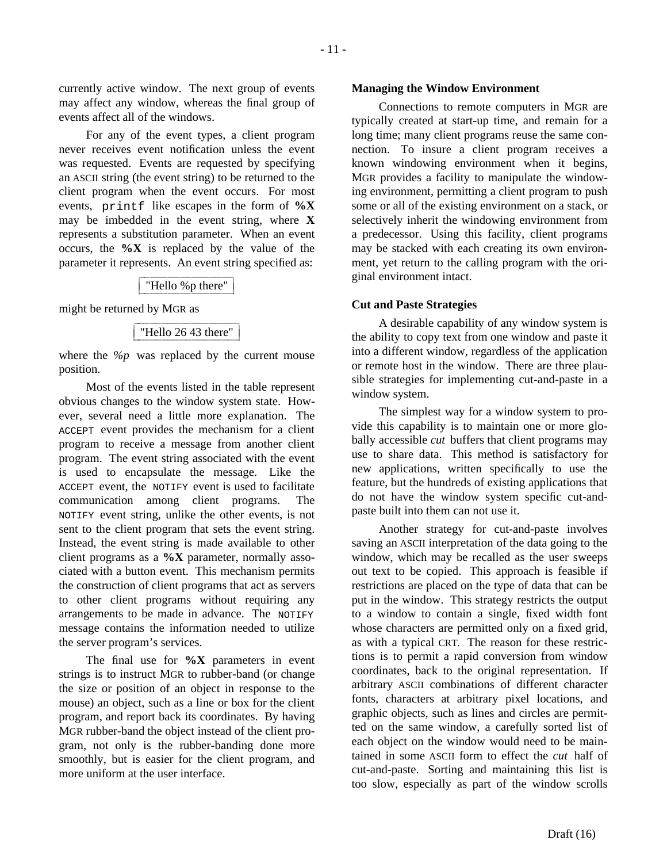currently active window. The next group of events may affect any window, whereas the final group of events affect all of the windows.

For any of the event types, a client program never receives event notification unless the event was requested. Events are requested by specifying an ASCII string (the event string) to be returned to the client program when the event occurs. For most events, printf like escapes in the form of **%X** may be imbedded in the event string, where **X** represents a substitution parameter. When an event occurs, the **%X** is replaced by the value of the parameter it represents. An event string specified as:

| "Hello %p there" |
|------------------|
|------------------|

might be returned by MGR as

|--|

where the *%p* was replaced by the current mouse position.

Most of the events listed in the table represent obvious changes to the window system state. However, several need a little more explanation. The ACCEPT event provides the mechanism for a client program to receive a message from another client program. The event string associated with the event is used to encapsulate the message. Like the ACCEPT event, the NOTIFY event is used to facilitate communication among client programs. The NOTIFY event string, unlike the other events, is not sent to the client program that sets the event string. Instead, the event string is made available to other client programs as a **%X** parameter, normally associated with a button event. This mechanism permits the construction of client programs that act as servers to other client programs without requiring any arrangements to be made in advance. The NOTIFY message contains the information needed to utilize the server program's services.

The final use for **%X** parameters in event strings is to instruct MGR to rubber-band (or change the size or position of an object in response to the mouse) an object, such as a line or box for the client program, and report back its coordinates. By having MGR rubber-band the object instead of the client program, not only is the rubber-banding done more smoothly, but is easier for the client program, and more uniform at the user interface.

#### **Managing the Window Environment**

Connections to remote computers in MGR are typically created at start-up time, and remain for a long time; many client programs reuse the same connection. To insure a client program receives a known windowing environment when it begins, MGR provides a facility to manipulate the windowing environment, permitting a client program to push some or all of the existing environment on a stack, or selectively inherit the windowing environment from a predecessor. Using this facility, client programs may be stacked with each creating its own environment, yet return to the calling program with the original environment intact.

#### **Cut and Paste Strategies**

A desirable capability of any window system is the ability to copy text from one window and paste it into a different window, regardless of the application or remote host in the window. There are three plausible strategies for implementing cut-and-paste in a window system.

The simplest way for a window system to provide this capability is to maintain one or more globally accessible *cut* buffers that client programs may use to share data. This method is satisfactory for new applications, written specifically to use the feature, but the hundreds of existing applications that do not have the window system specific cut-andpaste built into them can not use it.

Another strategy for cut-and-paste involves saving an ASCII interpretation of the data going to the window, which may be recalled as the user sweeps out text to be copied. This approach is feasible if restrictions are placed on the type of data that can be put in the window. This strategy restricts the output to a window to contain a single, fixed width font whose characters are permitted only on a fixed grid, as with a typical CRT. The reason for these restrictions is to permit a rapid conversion from window coordinates, back to the original representation. If arbitrary ASCII combinations of different character fonts, characters at arbitrary pixel locations, and graphic objects, such as lines and circles are permitted on the same window, a carefully sorted list of each object on the window would need to be maintained in some ASCII form to effect the *cut* half of cut-and-paste. Sorting and maintaining this list is too slow, especially as part of the window scrolls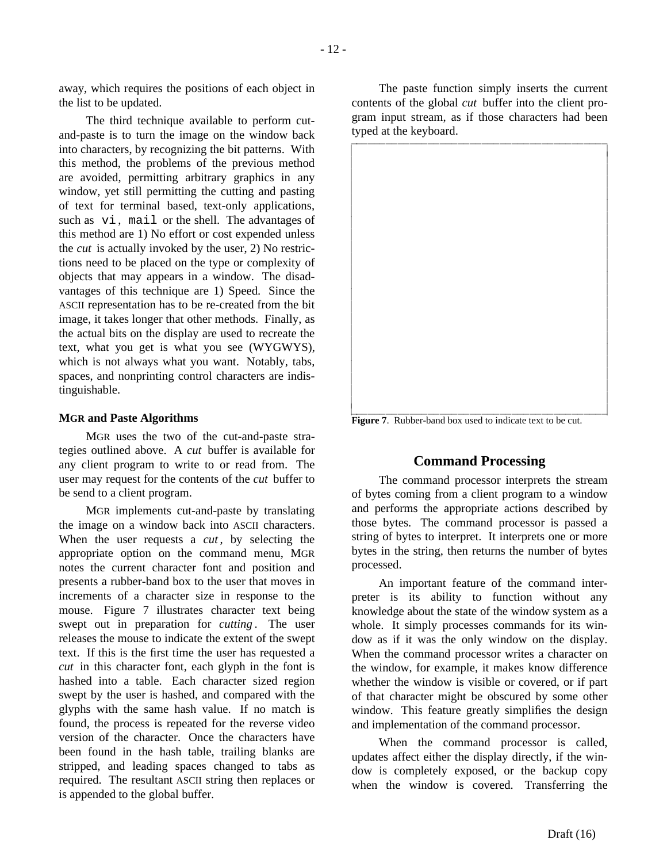away, which requires the positions of each object in the list to be updated.

The third technique available to perform cutand-paste is to turn the image on the window back into characters, by recognizing the bit patterns. With this method, the problems of the previous method are avoided, permitting arbitrary graphics in any window, yet still permitting the cutting and pasting of text for terminal based, text-only applications, such as vi , mail or the shell. The advantages of this method are 1) No effort or cost expended unless the *cut* is actually invoked by the user, 2) No restrictions need to be placed on the type or complexity of objects that may appears in a window. The disadvantages of this technique are 1) Speed. Since the ASCII representation has to be re-created from the bit image, it takes longer that other methods. Finally, as the actual bits on the display are used to recreate the text, what you get is what you see (WYGWYS), which is not always what you want. Notably, tabs, spaces, and nonprinting control characters are indistinguishable.

### **MGR and Paste Algorithms**

MGR uses the two of the cut-and-paste strategies outlined above. A *cut* buffer is available for any client program to write to or read from. The user may request for the contents of the *cut* buffer to be send to a client program.

MGR implements cut-and-paste by translating the image on a window back into ASCII characters. When the user requests a *cut*, by selecting the appropriate option on the command menu, MGR notes the current character font and position and presents a rubber-band box to the user that moves in increments of a character size in response to the mouse. Figure 7 illustrates character text being swept out in preparation for *cutting* . The user releases the mouse to indicate the extent of the swept text. If this is the first time the user has requested a *cut* in this character font, each glyph in the font is hashed into a table. Each character sized region swept by the user is hashed, and compared with the glyphs with the same hash value. If no match is found, the process is repeated for the reverse video version of the character. Once the characters have been found in the hash table, trailing blanks are stripped, and leading spaces changed to tabs as required. The resultant ASCII string then replaces or is appended to the global buffer.

The paste function simply inserts the current contents of the global *cut* buffer into the client program input stream, as if those characters had been typed at the keyboard.



**Figure 7**. Rubber-band box used to indicate text to be cut.

# **Command Processing**

The command processor interprets the stream of bytes coming from a client program to a window and performs the appropriate actions described by those bytes. The command processor is passed a string of bytes to interpret. It interprets one or more bytes in the string, then returns the number of bytes processed.

An important feature of the command interpreter is its ability to function without any knowledge about the state of the window system as a whole. It simply processes commands for its window as if it was the only window on the display. When the command processor writes a character on the window, for example, it makes know difference whether the window is visible or covered, or if part of that character might be obscured by some other window. This feature greatly simplifies the design and implementation of the command processor.

When the command processor is called, updates affect either the display directly, if the window is completely exposed, or the backup copy when the window is covered. Transferring the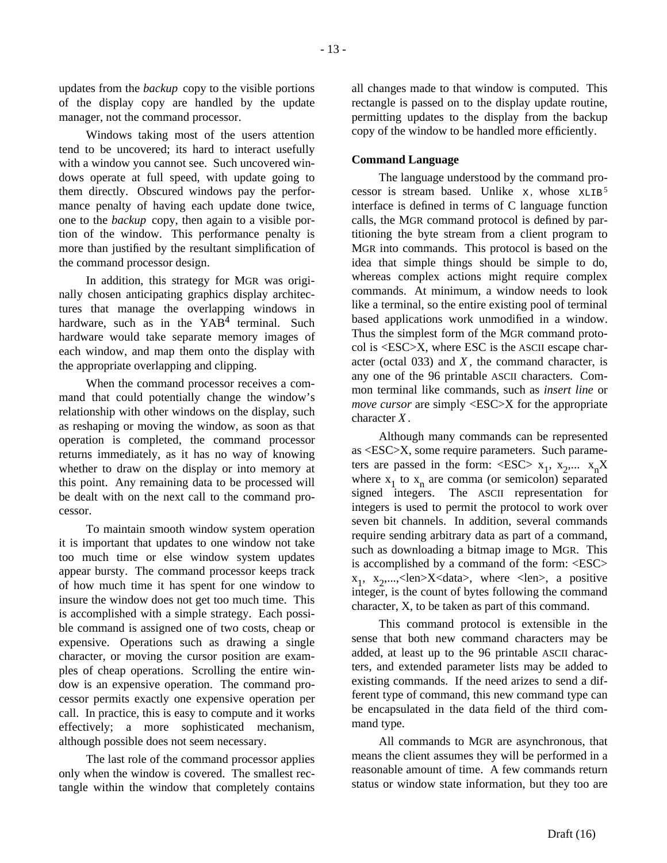updates from the *backup* copy to the visible portions of the display copy are handled by the update manager, not the command processor.

Windows taking most of the users attention tend to be uncovered; its hard to interact usefully with a window you cannot see. Such uncovered windows operate at full speed, with update going to them directly. Obscured windows pay the performance penalty of having each update done twice, one to the *backup* copy, then again to a visible portion of the window. This performance penalty is more than justified by the resultant simplification of the command processor design.

In addition, this strategy for MGR was originally chosen anticipating graphics display architectures that manage the overlapping windows in hardware, such as in the YAB<sup>4</sup> terminal. Such hardware would take separate memory images of each window, and map them onto the display with the appropriate overlapping and clipping.

When the command processor receives a command that could potentially change the window's relationship with other windows on the display, such as reshaping or moving the window, as soon as that operation is completed, the command processor returns immediately, as it has no way of knowing whether to draw on the display or into memory at this point. Any remaining data to be processed will be dealt with on the next call to the command processor.

To maintain smooth window system operation it is important that updates to one window not take too much time or else window system updates appear bursty. The command processor keeps track of how much time it has spent for one window to insure the window does not get too much time. This is accomplished with a simple strategy. Each possible command is assigned one of two costs, cheap or expensive. Operations such as drawing a single character, or moving the cursor position are examples of cheap operations. Scrolling the entire window is an expensive operation. The command processor permits exactly one expensive operation per call. In practice, this is easy to compute and it works effectively; a more sophisticated mechanism, although possible does not seem necessary.

The last role of the command processor applies only when the window is covered. The smallest rectangle within the window that completely contains all changes made to that window is computed. This rectangle is passed on to the display update routine, permitting updates to the display from the backup copy of the window to be handled more efficiently.

### **Command Language**

The language understood by the command processor is stream based. Unlike  $x$ , whose  $xLIB<sup>5</sup>$ interface is defined in terms of C language function calls, the MGR command protocol is defined by partitioning the byte stream from a client program to MGR into commands. This protocol is based on the idea that simple things should be simple to do, whereas complex actions might require complex commands. At minimum, a window needs to look like a terminal, so the entire existing pool of terminal based applications work unmodified in a window. Thus the simplest form of the MGR command protocol is <ESC>X, where ESC is the ASCII escape character (octal 033) and *X* , the command character, is any one of the 96 printable ASCII characters. Common terminal like commands, such as *insert line* or *move cursor* are simply <ESC>X for the appropriate character *X* .

Although many commands can be represented as <ESC>X, some require parameters. Such parameters are passed in the form: <ESC>  $x_1, x_2,... x_n X$ where  $x_1$  to  $x_n$  are comma (or semicolon) separated signed integers. The ASCII representation for integers is used to permit the protocol to work over seven bit channels. In addition, several commands require sending arbitrary data as part of a command, such as downloading a bitmap image to MGR. This is accomplished by a command of the form: <ESC>  $x_1, x_2,...,$ <len> $X$ <data>, where <len>, a positive integer, is the count of bytes following the command character, X, to be taken as part of this command.

This command protocol is extensible in the sense that both new command characters may be added, at least up to the 96 printable ASCII characters, and extended parameter lists may be added to existing commands. If the need arizes to send a different type of command, this new command type can be encapsulated in the data field of the third command type.

All commands to MGR are asynchronous, that means the client assumes they will be performed in a reasonable amount of time. A few commands return status or window state information, but they too are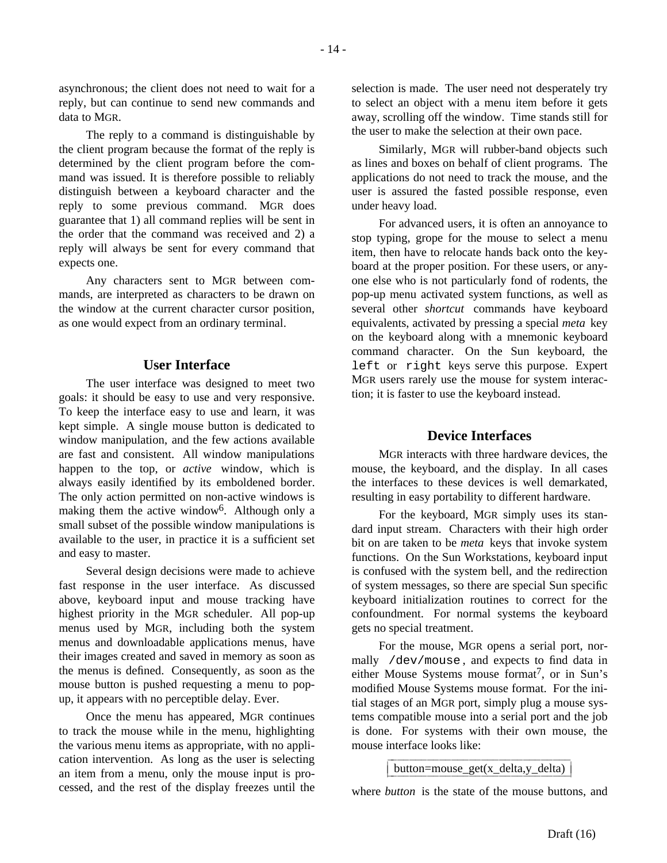The reply to a command is distinguishable by the client program because the format of the reply is determined by the client program before the command was issued. It is therefore possible to reliably distinguish between a keyboard character and the reply to some previous command. MGR does guarantee that 1) all command replies will be sent in the order that the command was received and 2) a reply will always be sent for every command that expects one.

Any characters sent to MGR between commands, are interpreted as characters to be drawn on the window at the current character cursor position, as one would expect from an ordinary terminal.

# **User Interface**

The user interface was designed to meet two goals: it should be easy to use and very responsive. To keep the interface easy to use and learn, it was kept simple. A single mouse button is dedicated to window manipulation, and the few actions available are fast and consistent. All window manipulations happen to the top, or *active* window, which is always easily identified by its emboldened border. The only action permitted on non-active windows is making them the active window6. Although only a small subset of the possible window manipulations is available to the user, in practice it is a sufficient set and easy to master.

Several design decisions were made to achieve fast response in the user interface. As discussed above, keyboard input and mouse tracking have highest priority in the MGR scheduler. All pop-up menus used by MGR, including both the system menus and downloadable applications menus, have their images created and saved in memory as soon as the menus is defined. Consequently, as soon as the mouse button is pushed requesting a menu to popup, it appears with no perceptible delay. Ever.

Once the menu has appeared, MGR continues to track the mouse while in the menu, highlighting the various menu items as appropriate, with no application intervention. As long as the user is selecting an item from a menu, only the mouse input is processed, and the rest of the display freezes until the

selection is made. The user need not desperately try to select an object with a menu item before it gets away, scrolling off the window. Time stands still for the user to make the selection at their own pace.

Similarly, MGR will rubber-band objects such as lines and boxes on behalf of client programs. The applications do not need to track the mouse, and the user is assured the fasted possible response, even under heavy load.

For advanced users, it is often an annoyance to stop typing, grope for the mouse to select a menu item, then have to relocate hands back onto the keyboard at the proper position. For these users, or anyone else who is not particularly fond of rodents, the pop-up menu activated system functions, as well as several other *shortcut* commands have keyboard equivalents, activated by pressing a special *meta* key on the keyboard along with a mnemonic keyboard command character. On the Sun keyboard, the left or right keys serve this purpose. Expert MGR users rarely use the mouse for system interaction; it is faster to use the keyboard instead.

## **Device Interfaces**

MGR interacts with three hardware devices, the mouse, the keyboard, and the display. In all cases the interfaces to these devices is well demarkated, resulting in easy portability to different hardware.

For the keyboard, MGR simply uses its standard input stream. Characters with their high order bit on are taken to be *meta* keys that invoke system functions. On the Sun Workstations, keyboard input is confused with the system bell, and the redirection of system messages, so there are special Sun specific keyboard initialization routines to correct for the confoundment. For normal systems the keyboard gets no special treatment.

For the mouse, MGR opens a serial port, normally /dev/mouse , and expects to find data in either Mouse Systems mouse format7, or in Sun's modified Mouse Systems mouse format. For the initial stages of an MGR port, simply plug a mouse systems compatible mouse into a serial port and the job is done. For systems with their own mouse, the mouse interface looks like:

button=mouse  $get(x \ delta, y \ delta)$ 

where *button* is the state of the mouse buttons, and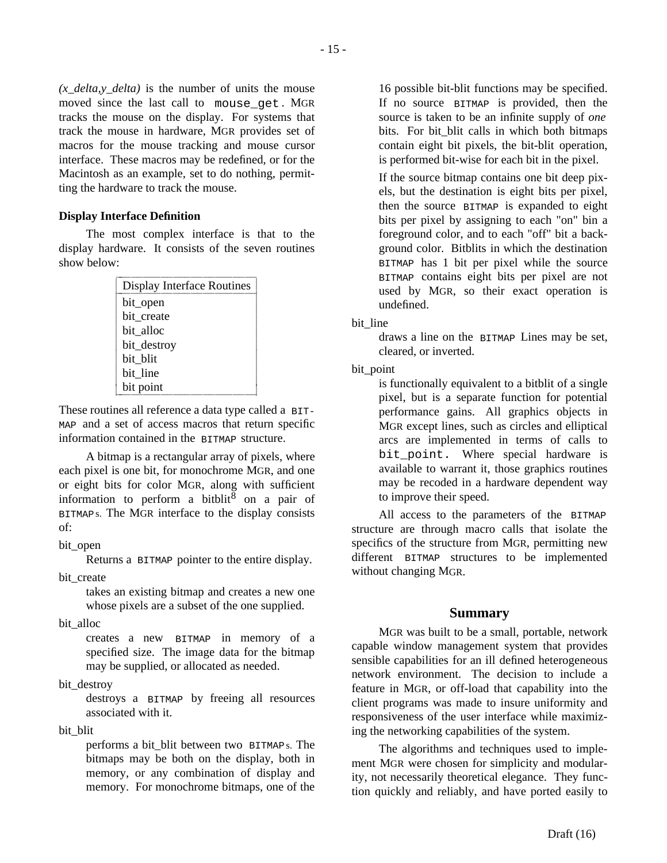*(x\_delta,y\_delta)* is the number of units the mouse moved since the last call to mouse\_get . MGR tracks the mouse on the display. For systems that track the mouse in hardware, MGR provides set of macros for the mouse tracking and mouse cursor interface. These macros may be redefined, or for the Macintosh as an example, set to do nothing, permitting the hardware to track the mouse.

### **Display Interface Definition**

The most complex interface is that to the display hardware. It consists of the seven routines show below:

| Display Interface Routines |
|----------------------------|
| bit_open                   |
| bit create                 |
| bit alloc                  |
| bit_destroy                |
| bit blit                   |
| bit line                   |
| bit point                  |

These routines all reference a data type called a BIT-MAP and a set of access macros that return specific information contained in the BITMAP structure.

A bitmap is a rectangular array of pixels, where each pixel is one bit, for monochrome MGR, and one or eight bits for color MGR, along with sufficient information to perform a bitblit<sup>8</sup> on a pair of BITMAPs. The MGR interface to the display consists of:

### bit open

Returns a BITMAP pointer to the entire display.

### bit create

takes an existing bitmap and creates a new one whose pixels are a subset of the one supplied.

bit alloc

creates a new BITMAP in memory of a specified size. The image data for the bitmap may be supplied, or allocated as needed.

## bit\_destroy

destroys a BITMAP by freeing all resources associated with it.

### bit\_blit

performs a bit\_blit between two BITMAPs. The bitmaps may be both on the display, both in memory, or any combination of display and memory. For monochrome bitmaps, one of the

16 possible bit-blit functions may be specified. If no source BITMAP is provided, then the source is taken to be an infinite supply of *one* bits. For bit\_blit calls in which both bitmaps contain eight bit pixels, the bit-blit operation, is performed bit-wise for each bit in the pixel.

If the source bitmap contains one bit deep pixels, but the destination is eight bits per pixel, then the source BITMAP is expanded to eight bits per pixel by assigning to each "on" bin a foreground color, and to each "off" bit a background color. Bitblits in which the destination BITMAP has 1 bit per pixel while the source BITMAP contains eight bits per pixel are not used by MGR, so their exact operation is undefined.

bit line

draws a line on the BITMAP Lines may be set, cleared, or inverted.

## bit\_point

is functionally equivalent to a bitblit of a single pixel, but is a separate function for potential performance gains. All graphics objects in MGR except lines, such as circles and elliptical arcs are implemented in terms of calls to bit point. Where special hardware is available to warrant it, those graphics routines may be recoded in a hardware dependent way to improve their speed.

All access to the parameters of the BITMAP structure are through macro calls that isolate the specifics of the structure from MGR, permitting new different BITMAP structures to be implemented without changing MGR.

## **Summary**

MGR was built to be a small, portable, network capable window management system that provides sensible capabilities for an ill defined heterogeneous network environment. The decision to include a feature in MGR, or off-load that capability into the client programs was made to insure uniformity and responsiveness of the user interface while maximizing the networking capabilities of the system.

The algorithms and techniques used to implement MGR were chosen for simplicity and modularity, not necessarily theoretical elegance. They function quickly and reliably, and have ported easily to